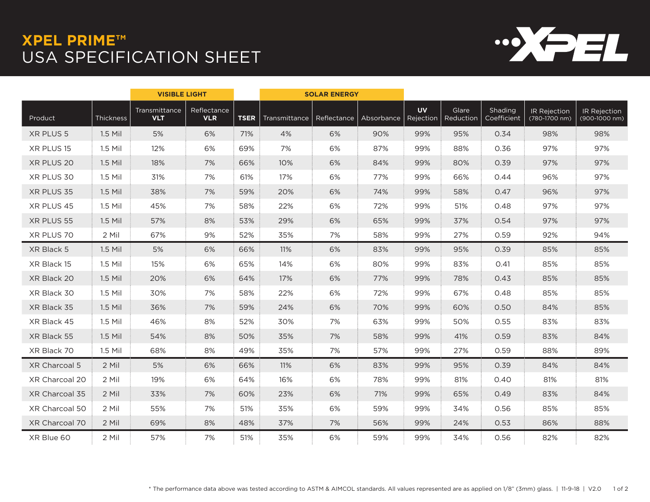## **XPEL PRIME™** USA SPECIFICATION SHEET



|                |           | <b>VISIBLE LIGHT</b>        |                           |             | <b>SOLAR ENERGY</b> |             |            |                        |                    |                        |                               |                               |
|----------------|-----------|-----------------------------|---------------------------|-------------|---------------------|-------------|------------|------------------------|--------------------|------------------------|-------------------------------|-------------------------------|
| Product        | Thickness | Transmittance<br><b>VLT</b> | Reflectance<br><b>VLR</b> | <b>TSER</b> | Transmittance       | Reflectance | Absorbance | <b>UV</b><br>Rejection | Glare<br>Reduction | Shading<br>Coefficient | IR Rejection<br>(780-1700 nm) | IR Rejection<br>(900-1000 nm) |
| XR PLUS 5      | 1.5 Mil   | 5%                          | 6%                        | 71%         | 4%                  | 6%          | 90%        | 99%                    | 95%                | 0.34                   | 98%                           | 98%                           |
| XR PLUS 15     | 1.5 Mil   | 12%                         | 6%                        | 69%         | 7%                  | 6%          | 87%        | 99%                    | 88%                | 0.36                   | 97%                           | 97%                           |
| XR PLUS 20     | $1.5$ Mil | 18%                         | 7%                        | 66%         | 10%                 | 6%          | 84%        | 99%                    | 80%                | 0.39                   | 97%                           | 97%                           |
| XR PLUS 30     | 1.5 Mil   | 31%                         | 7%                        | 61%         | 17%                 | 6%          | 77%        | 99%                    | 66%                | 0.44                   | 96%                           | 97%                           |
| XR PLUS 35     | 1.5 Mil   | 38%                         | 7%                        | 59%         | 20%                 | 6%          | 74%        | 99%                    | 58%                | 0.47                   | 96%                           | 97%                           |
| XR PLUS 45     | 1.5 Mil   | 45%                         | 7%                        | 58%         | 22%                 | 6%          | 72%        | 99%                    | 51%                | 0.48                   | 97%                           | 97%                           |
| XR PLUS 55     | 1.5 Mil   | 57%                         | 8%                        | 53%         | 29%                 | 6%          | 65%        | 99%                    | 37%                | 0.54                   | 97%                           | 97%                           |
| XR PLUS 70     | 2 Mil     | 67%                         | 9%                        | 52%         | 35%                 | 7%          | 58%        | 99%                    | 27%                | 0.59                   | 92%                           | 94%                           |
| XR Black 5     | $1.5$ Mil | 5%                          | 6%                        | 66%         | 11%                 | 6%          | 83%        | 99%                    | 95%                | 0.39                   | 85%                           | 85%                           |
| XR Black 15    | 1.5 Mil   | 15%                         | 6%                        | 65%         | 14%                 | 6%          | 80%        | 99%                    | 83%                | 0.41                   | 85%                           | 85%                           |
| XR Black 20    | 1.5 Mil   | 20%                         | 6%                        | 64%         | 17%                 | 6%          | 77%        | 99%                    | 78%                | 0.43                   | 85%                           | 85%                           |
| XR Black 30    | 1.5 Mil   | 30%                         | 7%                        | 58%         | 22%                 | 6%          | 72%        | 99%                    | 67%                | 0.48                   | 85%                           | 85%                           |
| XR Black 35    | 1.5 Mil   | 36%                         | 7%                        | 59%         | 24%                 | 6%          | 70%        | 99%                    | 60%                | 0.50                   | 84%                           | 85%                           |
| XR Black 45    | 1.5 Mil   | 46%                         | 8%                        | 52%         | 30%                 | 7%          | 63%        | 99%                    | 50%                | 0.55                   | 83%                           | 83%                           |
| XR Black 55    | 1.5 Mil   | 54%                         | 8%                        | 50%         | 35%                 | 7%          | 58%        | 99%                    | 41%                | 0.59                   | 83%                           | 84%                           |
| XR Black 70    | 1.5 Mil   | 68%                         | 8%                        | 49%         | 35%                 | 7%          | 57%        | 99%                    | 27%                | 0.59                   | 88%                           | 89%                           |
| XR Charcoal 5  | 2 Mil     | 5%                          | 6%                        | 66%         | 11%                 | 6%          | 83%        | 99%                    | 95%                | 0.39                   | 84%                           | 84%                           |
| XR Charcoal 20 | 2 Mil     | 19%                         | 6%                        | 64%         | 16%                 | 6%          | 78%        | 99%                    | 81%                | 0.40                   | 81%                           | 81%                           |
| XR Charcoal 35 | 2 Mil     | 33%                         | 7%                        | 60%         | 23%                 | 6%          | 71%        | 99%                    | 65%                | 0.49                   | 83%                           | 84%                           |
| XR Charcoal 50 | 2 Mil     | 55%                         | 7%                        | 51%         | 35%                 | 6%          | 59%        | 99%                    | 34%                | 0.56                   | 85%                           | 85%                           |
| XR Charcoal 70 | 2 Mil     | 69%                         | 8%                        | 48%         | 37%                 | 7%          | 56%        | 99%                    | 24%                | 0.53                   | 86%                           | 88%                           |
| XR Blue 60     | 2 Mil     | 57%                         | 7%                        | 51%         | 35%                 | 6%          | 59%        | 99%                    | 34%                | 0.56                   | 82%                           | 82%                           |